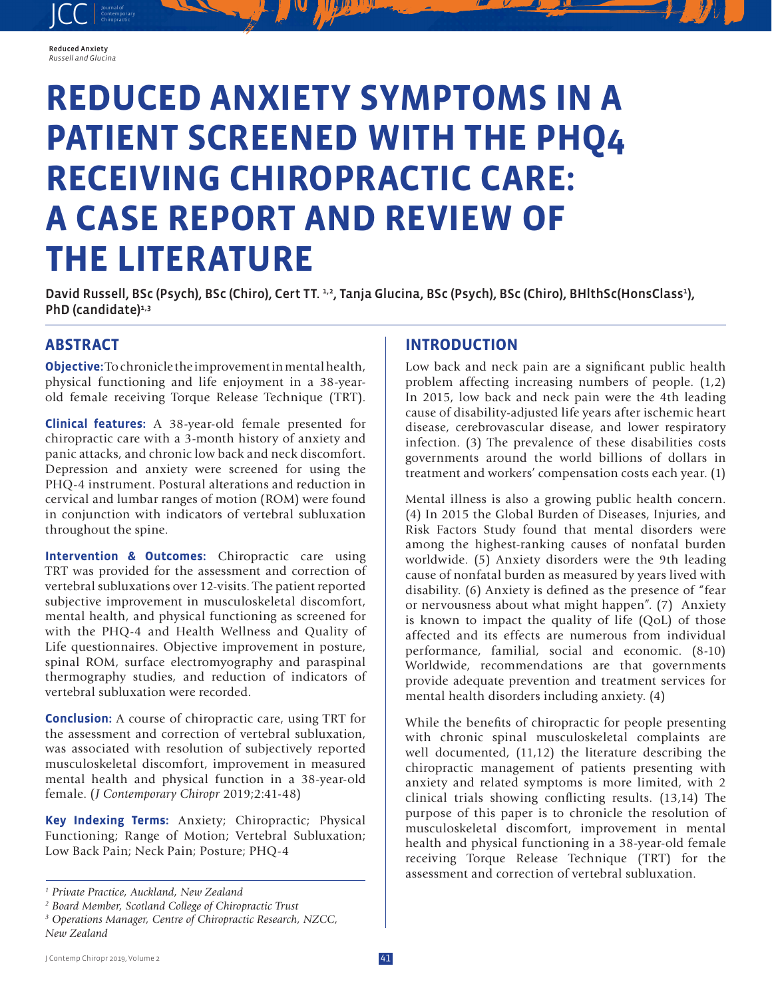#### Reduced Anxiety *Russell and Glucina*

JCC contemporary Contemporary

# **REDUCED ANXIETY SYMPTOMS IN A PATIENT SCREENED WITH THE PHQ4 RECEIVING CHIROPRACTIC CARE: A CASE REPORT AND REVIEW OF THE LITERATURE**

David Russell, BSc (Psych), BSc (Chiro), Cert TT. 1,2, Tanja Glucina, BSc (Psych), BSc (Chiro), BHlthSc(HonsClass<sup>1</sup>), PhD (candidate)<sup>1,3</sup>

## **ABSTRACT**

**Objective:**To chronicle the improvement in mental health, physical functioning and life enjoyment in a 38-yearold female receiving Torque Release Technique (TRT).

**Clinical features:** A 38-year-old female presented for chiropractic care with a 3-month history of anxiety and panic attacks, and chronic low back and neck discomfort. Depression and anxiety were screened for using the PHQ-4 instrument. Postural alterations and reduction in cervical and lumbar ranges of motion (ROM) were found in conjunction with indicators of vertebral subluxation throughout the spine.

**Intervention & Outcomes:** Chiropractic care using TRT was provided for the assessment and correction of vertebral subluxations over 12-visits. The patient reported subjective improvement in musculoskeletal discomfort, mental health, and physical functioning as screened for with the PHQ-4 and Health Wellness and Quality of Life questionnaires. Objective improvement in posture, spinal ROM, surface electromyography and paraspinal thermography studies, and reduction of indicators of vertebral subluxation were recorded.

**Conclusion:** A course of chiropractic care, using TRT for the assessment and correction of vertebral subluxation, was associated with resolution of subjectively reported musculoskeletal discomfort, improvement in measured mental health and physical function in a 38-year-old female. (*J Contemporary Chiropr* 2019;2:41-48)

**Key Indexing Terms:** Anxiety; Chiropractic; Physical Functioning; Range of Motion; Vertebral Subluxation; Low Back Pain; Neck Pain; Posture; PHQ-4

### **INTRODUCTION**

Low back and neck pain are a significant public health problem affecting increasing numbers of people. (1,2) In 2015, low back and neck pain were the 4th leading cause of disability-adjusted life years after ischemic heart disease, cerebrovascular disease, and lower respiratory infection. (3) The prevalence of these disabilities costs governments around the world billions of dollars in treatment and workers' compensation costs each year. (1)

Mental illness is also a growing public health concern. (4) In 2015 the Global Burden of Diseases, Injuries, and Risk Factors Study found that mental disorders were among the highest-ranking causes of nonfatal burden worldwide. (5) Anxiety disorders were the 9th leading cause of nonfatal burden as measured by years lived with disability. (6) Anxiety is defined as the presence of "fear or nervousness about what might happen". (7) Anxiety is known to impact the quality of life (QoL) of those affected and its effects are numerous from individual performance, familial, social and economic. (8-10) Worldwide, recommendations are that governments provide adequate prevention and treatment services for mental health disorders including anxiety. (4)

While the benefits of chiropractic for people presenting with chronic spinal musculoskeletal complaints are well documented, (11,12) the literature describing the chiropractic management of patients presenting with anxiety and related symptoms is more limited, with 2 clinical trials showing conflicting results. (13,14) The purpose of this paper is to chronicle the resolution of musculoskeletal discomfort, improvement in mental health and physical functioning in a 38-year-old female receiving Torque Release Technique (TRT) for the assessment and correction of vertebral subluxation.

*<sup>1</sup> Private Practice, Auckland, New Zealand*

*<sup>2</sup> Board Member, Scotland College of Chiropractic Trust*

*<sup>3</sup> Operations Manager, Centre of Chiropractic Research, NZCC, New Zealand*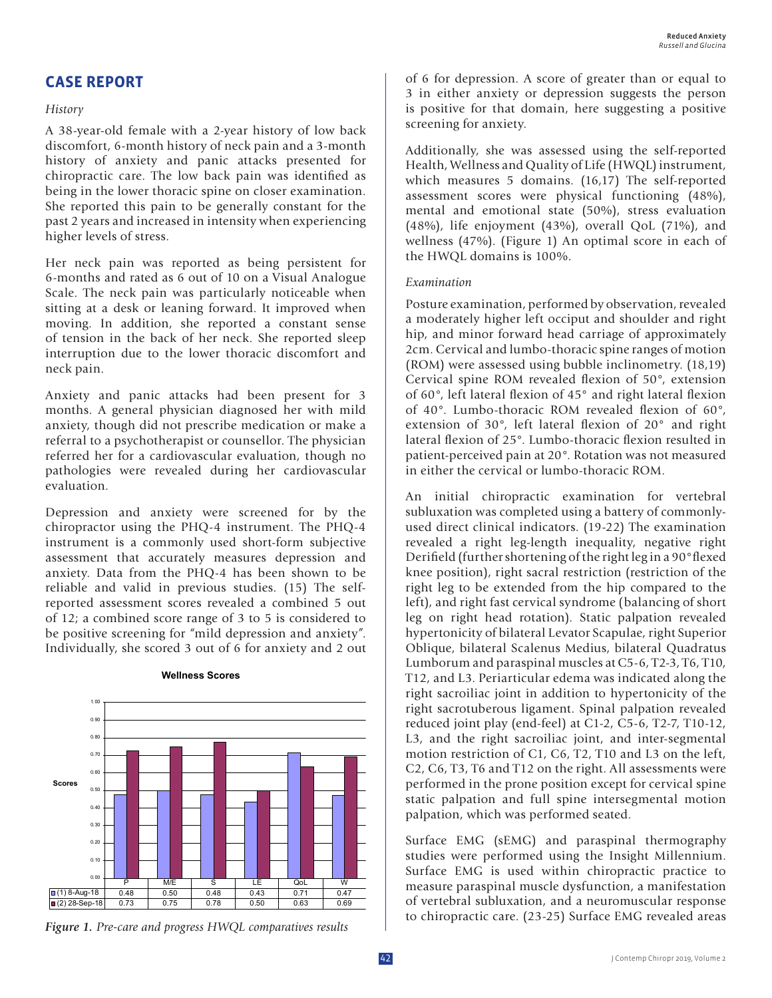## **CASE REPORT**

#### *History*

A 38-year-old female with a 2-year history of low back discomfort, 6-month history of neck pain and a 3-month history of anxiety and panic attacks presented for chiropractic care. The low back pain was identified as being in the lower thoracic spine on closer examination. She reported this pain to be generally constant for the past 2 years and increased in intensity when experiencing higher levels of stress.

Her neck pain was reported as being persistent for 6-months and rated as 6 out of 10 on a Visual Analogue Scale. The neck pain was particularly noticeable when sitting at a desk or leaning forward. It improved when moving. In addition, she reported a constant sense of tension in the back of her neck. She reported sleep interruption due to the lower thoracic discomfort and neck pain.

Anxiety and panic attacks had been present for 3 months. A general physician diagnosed her with mild anxiety, though did not prescribe medication or make a referral to a psychotherapist or counsellor. The physician referred her for a cardiovascular evaluation, though no pathologies were revealed during her cardiovascular evaluation.

Depression and anxiety were screened for by the chiropractor using the PHQ-4 instrument. The PHQ-4 instrument is a commonly used short-form subjective assessment that accurately measures depression and anxiety. Data from the PHQ-4 has been shown to be reliable and valid in previous studies. (15) The selfreported assessment scores revealed a combined 5 out of 12; a combined score range of 3 to 5 is considered to be positive screening for "mild depression and anxiety". Individually, she scored 3 out of 6 for anxiety and 2 out



#### **Wellness Scores**

*Figure 1. Pre-care and progress HWQL comparatives results*

of 6 for depression. A score of greater than or equal to 3 in either anxiety or depression suggests the person is positive for that domain, here suggesting a positive screening for anxiety.

Additionally, she was assessed using the self-reported Health, Wellness and Quality of Life (HWQL) instrument, which measures 5 domains. (16,17) The self-reported assessment scores were physical functioning (48%), mental and emotional state (50%), stress evaluation (48%), life enjoyment (43%), overall QoL (71%), and wellness (47%). (Figure 1) An optimal score in each of the HWQL domains is 100%.

#### *Examination*

Posture examination, performed by observation, revealed a moderately higher left occiput and shoulder and right hip, and minor forward head carriage of approximately 2cm. Cervical and lumbo-thoracic spine ranges of motion (ROM) were assessed using bubble inclinometry. (18,19) Cervical spine ROM revealed flexion of 50°, extension of 60°, left lateral flexion of 45° and right lateral flexion of 40°. Lumbo-thoracic ROM revealed flexion of 60°, extension of 30°, left lateral flexion of 20° and right lateral flexion of 25°. Lumbo-thoracic flexion resulted in patient-perceived pain at 20°. Rotation was not measured in either the cervical or lumbo-thoracic ROM.

An initial chiropractic examination for vertebral subluxation was completed using a battery of commonlyused direct clinical indicators. (19-22) The examination revealed a right leg-length inequality, negative right Derifield (further shortening of the right leg in a 90°flexed knee position), right sacral restriction (restriction of the right leg to be extended from the hip compared to the left), and right fast cervical syndrome (balancing of short leg on right head rotation). Static palpation revealed hypertonicity of bilateral Levator Scapulae, right Superior Oblique, bilateral Scalenus Medius, bilateral Quadratus Lumborum and paraspinal muscles at C5-6, T2-3, T6, T10, T12, and L3. Periarticular edema was indicated along the right sacroiliac joint in addition to hypertonicity of the right sacrotuberous ligament. Spinal palpation revealed reduced joint play (end-feel) at C1-2, C5-6, T2-7, T10-12, L3, and the right sacroiliac joint, and inter-segmental motion restriction of C1, C6, T2, T10 and L3 on the left, C2, C6, T3, T6 and T12 on the right. All assessments were performed in the prone position except for cervical spine static palpation and full spine intersegmental motion palpation, which was performed seated.

Surface EMG (sEMG) and paraspinal thermography studies were performed using the Insight Millennium. Surface EMG is used within chiropractic practice to measure paraspinal muscle dysfunction, a manifestation of vertebral subluxation, and a neuromuscular response to chiropractic care. (23-25) Surface EMG revealed areas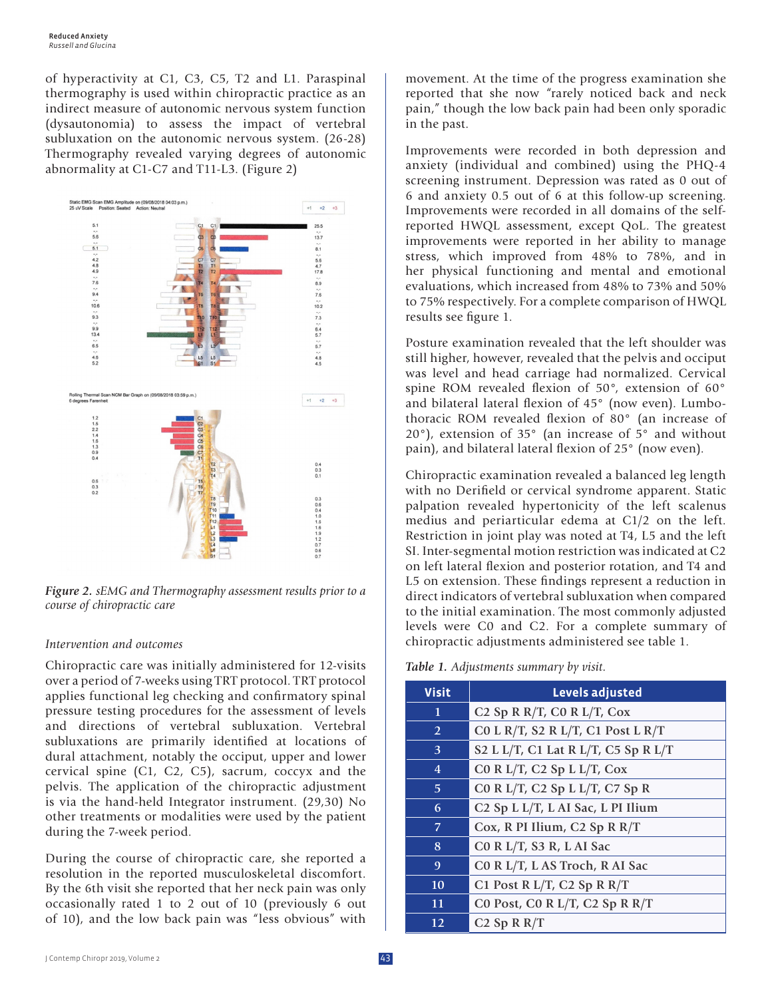of hyperactivity at C1, C3, C5, T2 and L1. Paraspinal thermography is used within chiropractic practice as an indirect measure of autonomic nervous system function (dysautonomia) to assess the impact of vertebral subluxation on the autonomic nervous system. (26-28) Thermography revealed varying degrees of autonomic abnormality at C1-C7 and T11-L3. (Figure 2)



*Figure 2. sEMG and Thermography assessment results prior to a course of chiropractic care*

#### *Intervention and outcomes*

Chiropractic care was initially administered for 12-visits over a period of 7-weeks using TRT protocol. TRT protocol applies functional leg checking and confirmatory spinal pressure testing procedures for the assessment of levels and directions of vertebral subluxation. Vertebral subluxations are primarily identified at locations of dural attachment, notably the occiput, upper and lower cervical spine (C1, C2, C5), sacrum, coccyx and the pelvis. The application of the chiropractic adjustment is via the hand-held Integrator instrument. (29,30) No other treatments or modalities were used by the patient during the 7-week period.

During the course of chiropractic care, she reported a resolution in the reported musculoskeletal discomfort. By the 6th visit she reported that her neck pain was only occasionally rated 1 to 2 out of 10 (previously 6 out of 10), and the low back pain was "less obvious" with

movement. At the time of the progress examination she reported that she now "rarely noticed back and neck pain," though the low back pain had been only sporadic in the past.

Improvements were recorded in both depression and anxiety (individual and combined) using the PHQ-4 screening instrument. Depression was rated as 0 out of 6 and anxiety 0.5 out of 6 at this follow-up screening. Improvements were recorded in all domains of the selfreported HWQL assessment, except QoL. The greatest improvements were reported in her ability to manage stress, which improved from 48% to 78%, and in her physical functioning and mental and emotional evaluations, which increased from 48% to 73% and 50% to 75% respectively. For a complete comparison of HWQL results see figure 1.

Posture examination revealed that the left shoulder was still higher, however, revealed that the pelvis and occiput was level and head carriage had normalized. Cervical spine ROM revealed flexion of 50°, extension of 60° and bilateral lateral flexion of 45° (now even). Lumbothoracic ROM revealed flexion of 80° (an increase of 20°), extension of 35° (an increase of 5° and without pain), and bilateral lateral flexion of 25° (now even).

Chiropractic examination revealed a balanced leg length with no Derifield or cervical syndrome apparent. Static palpation revealed hypertonicity of the left scalenus medius and periarticular edema at C1/2 on the left. Restriction in joint play was noted at T4, L5 and the left SI. Inter-segmental motion restriction was indicated at C2 on left lateral flexion and posterior rotation, and T4 and L5 on extension. These findings represent a reduction in direct indicators of vertebral subluxation when compared to the initial examination. The most commonly adjusted levels were C0 and C2. For a complete summary of chiropractic adjustments administered see table 1.

*Table 1. Adjustments summary by visit.*

| <b>Visit</b>   | Levels adjusted                                                                 |  |  |
|----------------|---------------------------------------------------------------------------------|--|--|
| 1              | C <sub>2</sub> Sp R R/T, C <sub>0</sub> R L/T, C <sub>ox</sub>                  |  |  |
| $\overline{2}$ | CO L R/T, S2 R L/T, C1 Post L R/T                                               |  |  |
| 3              | S2 L L/T, C1 Lat R L/T, C5 Sp R L/T                                             |  |  |
| $\overline{4}$ | C0 R L/T, C2 Sp L L/T, Cox                                                      |  |  |
| 5              | CO R L/T, C <sub>2</sub> Sp L L/T, C <sub>7</sub> Sp R                          |  |  |
| 6              | C <sub>2</sub> Sp L <sub>L</sub> /T, L <sub>AI</sub> Sac, L <sub>PI</sub> Ilium |  |  |
| 7              | Cox, R PI Ilium, C <sub>2</sub> Sp R R/T                                        |  |  |
| 8              | C0 R L/T, S3 R, L AI Sac                                                        |  |  |
| 9              | C0 R L/T, L AS Troch, R AI Sac                                                  |  |  |
| 10             | C1 Post R L/T, C2 Sp R R/T                                                      |  |  |
| 11             | C0 Post, C0 R L/T, C2 Sp R R/T                                                  |  |  |
| 12             | $C2$ Sp R R/T                                                                   |  |  |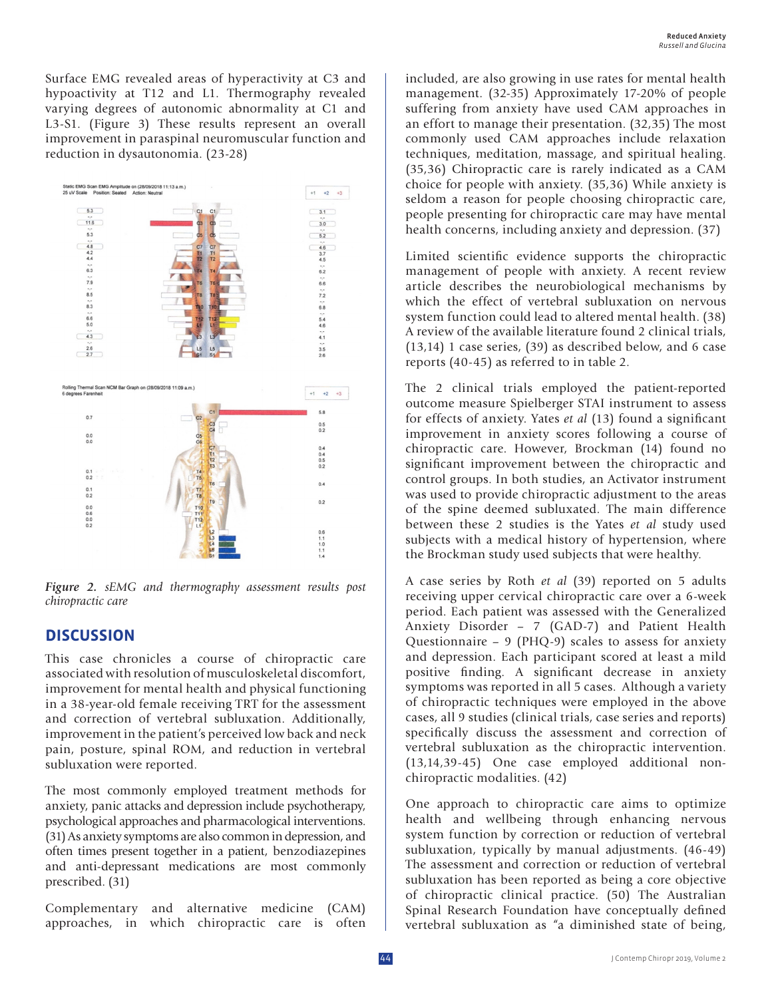Surface EMG revealed areas of hyperactivity at C3 and hypoactivity at T12 and L1. Thermography revealed varying degrees of autonomic abnormality at C1 and L3-S1. (Figure 3) These results represent an overall improvement in paraspinal neuromuscular function and reduction in dysautonomia. (23-28)



*Figure 2. sEMG and thermography assessment results post chiropractic care*

## **DISCUSSION**

This case chronicles a course of chiropractic care associated with resolution of musculoskeletal discomfort, improvement for mental health and physical functioning in a 38-year-old female receiving TRT for the assessment and correction of vertebral subluxation. Additionally, improvement in the patient's perceived low back and neck pain, posture, spinal ROM, and reduction in vertebral subluxation were reported.

The most commonly employed treatment methods for anxiety, panic attacks and depression include psychotherapy, psychological approaches and pharmacological interventions. (31) As anxiety symptoms are also common in depression, and often times present together in a patient, benzodiazepines and anti-depressant medications are most commonly prescribed. (31)

Complementary and alternative medicine (CAM) approaches, in which chiropractic care is often included, are also growing in use rates for mental health management. (32-35) Approximately 17-20% of people suffering from anxiety have used CAM approaches in an effort to manage their presentation. (32,35) The most commonly used CAM approaches include relaxation techniques, meditation, massage, and spiritual healing. (35,36) Chiropractic care is rarely indicated as a CAM choice for people with anxiety. (35,36) While anxiety is seldom a reason for people choosing chiropractic care, people presenting for chiropractic care may have mental health concerns, including anxiety and depression. (37)

Limited scientific evidence supports the chiropractic management of people with anxiety. A recent review article describes the neurobiological mechanisms by which the effect of vertebral subluxation on nervous system function could lead to altered mental health. (38) A review of the available literature found 2 clinical trials, (13,14) 1 case series, (39) as described below, and 6 case reports (40-45) as referred to in table 2.

The 2 clinical trials employed the patient-reported outcome measure Spielberger STAI instrument to assess for effects of anxiety. Yates *et al* (13) found a significant improvement in anxiety scores following a course of chiropractic care. However, Brockman (14) found no significant improvement between the chiropractic and control groups. In both studies, an Activator instrument was used to provide chiropractic adjustment to the areas of the spine deemed subluxated. The main difference between these 2 studies is the Yates *et al* study used subjects with a medical history of hypertension, where the Brockman study used subjects that were healthy.

A case series by Roth *et al* (39) reported on 5 adults receiving upper cervical chiropractic care over a 6-week period. Each patient was assessed with the Generalized Anxiety Disorder – 7 (GAD-7) and Patient Health Questionnaire – 9 (PHQ-9) scales to assess for anxiety and depression. Each participant scored at least a mild positive finding. A significant decrease in anxiety symptoms was reported in all 5 cases. Although a variety of chiropractic techniques were employed in the above cases, all 9 studies (clinical trials, case series and reports) specifically discuss the assessment and correction of vertebral subluxation as the chiropractic intervention. (13,14,39-45) One case employed additional nonchiropractic modalities. (42)

One approach to chiropractic care aims to optimize health and wellbeing through enhancing nervous system function by correction or reduction of vertebral subluxation, typically by manual adjustments. (46-49) The assessment and correction or reduction of vertebral subluxation has been reported as being a core objective of chiropractic clinical practice. (50) The Australian Spinal Research Foundation have conceptually defined vertebral subluxation as "a diminished state of being,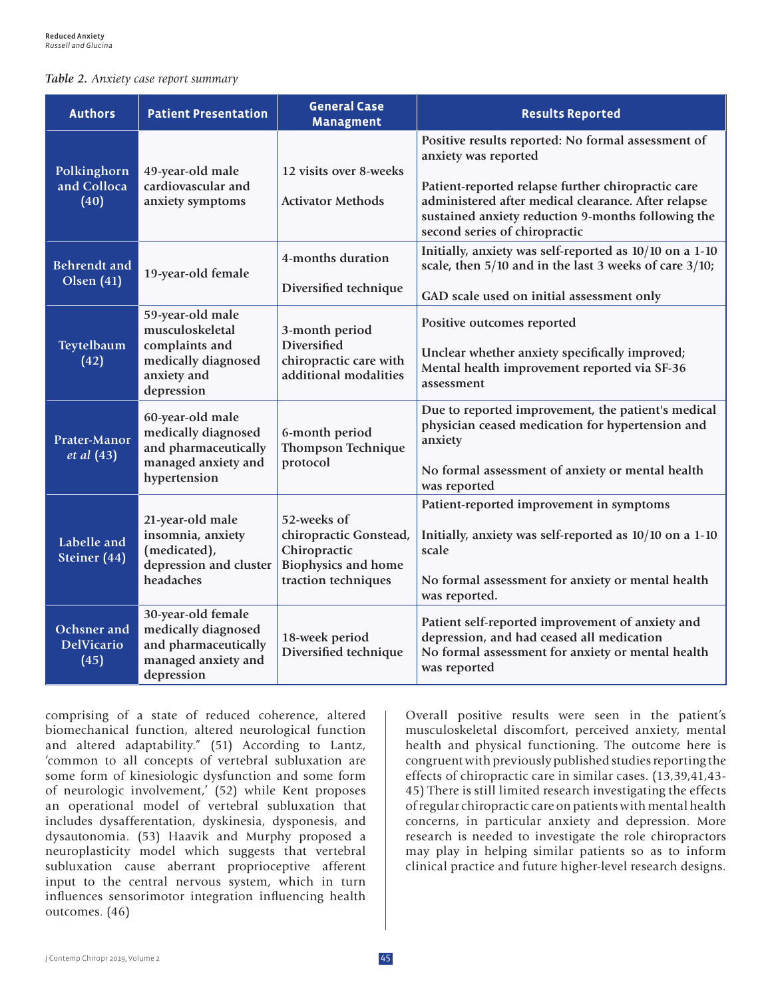#### *Table 2. Anxiety case report summary*

| <b>Authors</b>                           | <b>Patient Presentation</b>                                                                               | <b>General Case</b><br><b>Managment</b>                                                                    | <b>Results Reported</b>                                                                                                                                                                                                                                                        |
|------------------------------------------|-----------------------------------------------------------------------------------------------------------|------------------------------------------------------------------------------------------------------------|--------------------------------------------------------------------------------------------------------------------------------------------------------------------------------------------------------------------------------------------------------------------------------|
| Polkinghorn<br>and Colloca<br>(40)       | 49-year-old male<br>cardiovascular and<br>anxiety symptoms                                                | 12 visits over 8-weeks<br><b>Activator Methods</b>                                                         | Positive results reported: No formal assessment of<br>anxiety was reported<br>Patient-reported relapse further chiropractic care<br>administered after medical clearance. After relapse<br>sustained anxiety reduction 9-months following the<br>second series of chiropractic |
| <b>Behrendt</b> and<br>Olsen $(41)$      | 19-year-old female                                                                                        | 4-months duration<br>Diversified technique                                                                 | Initially, anxiety was self-reported as 10/10 on a 1-10<br>scale, then 5/10 and in the last 3 weeks of care 3/10;<br>GAD scale used on initial assessment only                                                                                                                 |
| Teytelbaum<br>(42)                       | 59-year-old male<br>musculoskeletal<br>complaints and<br>medically diagnosed<br>anxiety and<br>depression | 3-month period<br><b>Diversified</b><br>chiropractic care with<br>additional modalities                    | Positive outcomes reported<br>Unclear whether anxiety specifically improved;<br>Mental health improvement reported via SF-36<br>assessment                                                                                                                                     |
| Prater-Manor<br><i>et al</i> (43)        | 60-year-old male<br>medically diagnosed<br>and pharmaceutically<br>managed anxiety and<br>hypertension    | 6-month period<br><b>Thompson Technique</b><br>protocol                                                    | Due to reported improvement, the patient's medical<br>physician ceased medication for hypertension and<br>anxiety<br>No formal assessment of anxiety or mental health<br>was reported                                                                                          |
| Labelle and<br>Steiner (44)              | 21-year-old male<br>insomnia, anxiety<br>(medicated),<br>depression and cluster<br>headaches              | 52-weeks of<br>chiropractic Gonstead,<br>Chiropractic<br><b>Biophysics and home</b><br>traction techniques | Patient-reported improvement in symptoms<br>Initially, anxiety was self-reported as 10/10 on a 1-10<br>scale<br>No formal assessment for anxiety or mental health<br>was reported.                                                                                             |
| Ochsner and<br><b>DelVicario</b><br>(45) | 30-year-old female<br>medically diagnosed<br>and pharmaceutically<br>managed anxiety and<br>depression    | 18-week period<br>Diversified technique                                                                    | Patient self-reported improvement of anxiety and<br>depression, and had ceased all medication<br>No formal assessment for anxiety or mental health<br>was reported                                                                                                             |

comprising of a state of reduced coherence, altered biomechanical function, altered neurological function and altered adaptability." (51) According to Lantz, 'common to all concepts of vertebral subluxation are some form of kinesiologic dysfunction and some form of neurologic involvement,' (52) while Kent proposes an operational model of vertebral subluxation that includes dysafferentation, dyskinesia, dysponesis, and dysautonomia. (53) Haavik and Murphy proposed a neuroplasticity model which suggests that vertebral subluxation cause aberrant proprioceptive afferent input to the central nervous system, which in turn influences sensorimotor integration influencing health outcomes. (46)

Overall positive results were seen in the patient's musculoskeletal discomfort, perceived anxiety, mental health and physical functioning. The outcome here is congruent with previously published studies reporting the effects of chiropractic care in similar cases. (13,39,41,43- 45) There is still limited research investigating the effects of regular chiropractic care on patients with mental health concerns, in particular anxiety and depression. More research is needed to investigate the role chiropractors may play in helping similar patients so as to inform clinical practice and future higher-level research designs.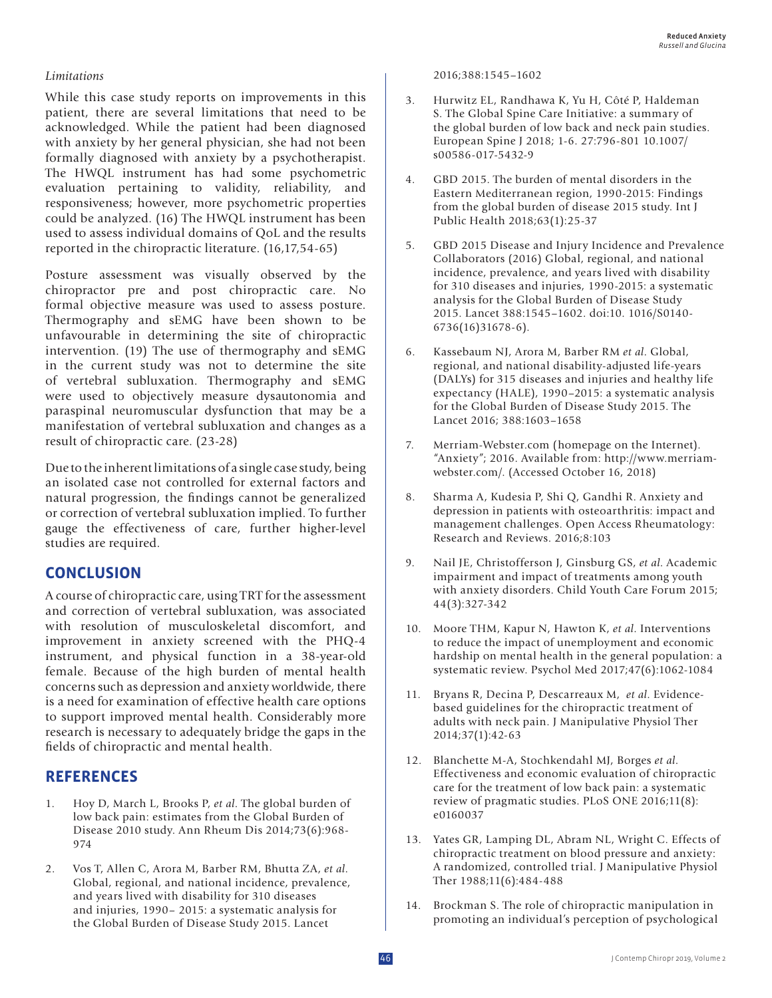### *Limitations*

While this case study reports on improvements in this patient, there are several limitations that need to be acknowledged. While the patient had been diagnosed with anxiety by her general physician, she had not been formally diagnosed with anxiety by a psychotherapist. The HWQL instrument has had some psychometric evaluation pertaining to validity, reliability, and responsiveness; however, more psychometric properties could be analyzed. (16) The HWQL instrument has been used to assess individual domains of QoL and the results reported in the chiropractic literature. (16,17,54-65)

Posture assessment was visually observed by the chiropractor pre and post chiropractic care. No formal objective measure was used to assess posture. Thermography and sEMG have been shown to be unfavourable in determining the site of chiropractic intervention. (19) The use of thermography and sEMG in the current study was not to determine the site of vertebral subluxation. Thermography and sEMG were used to objectively measure dysautonomia and paraspinal neuromuscular dysfunction that may be a manifestation of vertebral subluxation and changes as a result of chiropractic care. (23-28)

Due to the inherent limitations of a single case study, being an isolated case not controlled for external factors and natural progression, the findings cannot be generalized or correction of vertebral subluxation implied. To further gauge the effectiveness of care, further higher-level studies are required.

## **CONCLUSION**

A course of chiropractic care, using TRT for the assessment and correction of vertebral subluxation, was associated with resolution of musculoskeletal discomfort, and improvement in anxiety screened with the PHQ-4 instrument, and physical function in a 38-year-old female. Because of the high burden of mental health concerns such as depression and anxiety worldwide, there is a need for examination of effective health care options to support improved mental health. Considerably more research is necessary to adequately bridge the gaps in the fields of chiropractic and mental health.

## **REFERENCES**

- 1. Hoy D, March L, Brooks P, *et al*. The global burden of low back pain: estimates from the Global Burden of Disease 2010 study. Ann Rheum Dis 2014;73(6):968- 974
- 2. Vos T, Allen C, Arora M, Barber RM, Bhutta ZA, *et al*. Global, regional, and national incidence, prevalence, and years lived with disability for 310 diseases and injuries, 1990– 2015: a systematic analysis for the Global Burden of Disease Study 2015. Lancet

2016;388:1545–1602

- 3. Hurwitz EL, Randhawa K, Yu H, Côté P, Haldeman S. The Global Spine Care Initiative: a summary of the global burden of low back and neck pain studies. European Spine J 2018; 1-6. 27:796-801 10.1007/ s00586-017-5432-9
- 4. GBD 2015. The burden of mental disorders in the Eastern Mediterranean region, 1990-2015: Findings from the global burden of disease 2015 study. Int J Public Health 2018;63(1):25-37
- 5. GBD 2015 Disease and Injury Incidence and Prevalence Collaborators (2016) Global, regional, and national incidence, prevalence, and years lived with disability for 310 diseases and injuries, 1990-2015: a systematic analysis for the Global Burden of Disease Study 2015. Lancet 388:1545–1602. doi:10. 1016/S0140- 6736(16)31678-6).
- 6. Kassebaum NJ, Arora M, Barber RM *et al*. Global, regional, and national disability-adjusted life-years (DALYs) for 315 diseases and injuries and healthy life expectancy (HALE), 1990–2015: a systematic analysis for the Global Burden of Disease Study 2015. The Lancet 2016; 388:1603–1658
- 7. Merriam-Webster.com (homepage on the Internet). "Anxiety"; 2016. Available from: http://www.merriamwebster.com/. (Accessed October 16, 2018)
- 8. Sharma A, Kudesia P, Shi Q, Gandhi R. Anxiety and depression in patients with osteoarthritis: impact and management challenges. Open Access Rheumatology: Research and Reviews. 2016;8:103
- 9. Nail JE, Christofferson J, Ginsburg GS, *et al*. Academic impairment and impact of treatments among youth with anxiety disorders. Child Youth Care Forum 2015; 44(3):327-342
- 10. Moore THM, Kapur N, Hawton K, *et al*. Interventions to reduce the impact of unemployment and economic hardship on mental health in the general population: a systematic review. Psychol Med 2017;47(6):1062-1084
- 11. Bryans R, Decina P, Descarreaux M, *et al*. Evidencebased guidelines for the chiropractic treatment of adults with neck pain. J Manipulative Physiol Ther 2014;37(1):42-63
- 12. Blanchette M-A, Stochkendahl MJ, Borges *et al*. Effectiveness and economic evaluation of chiropractic care for the treatment of low back pain: a systematic review of pragmatic studies. PLoS ONE 2016;11(8): e0160037
- 13. Yates GR, Lamping DL, Abram NL, Wright C. Effects of chiropractic treatment on blood pressure and anxiety: A randomized, controlled trial. J Manipulative Physiol Ther 1988;11(6):484-488
- 14. Brockman S. The role of chiropractic manipulation in promoting an individual's perception of psychological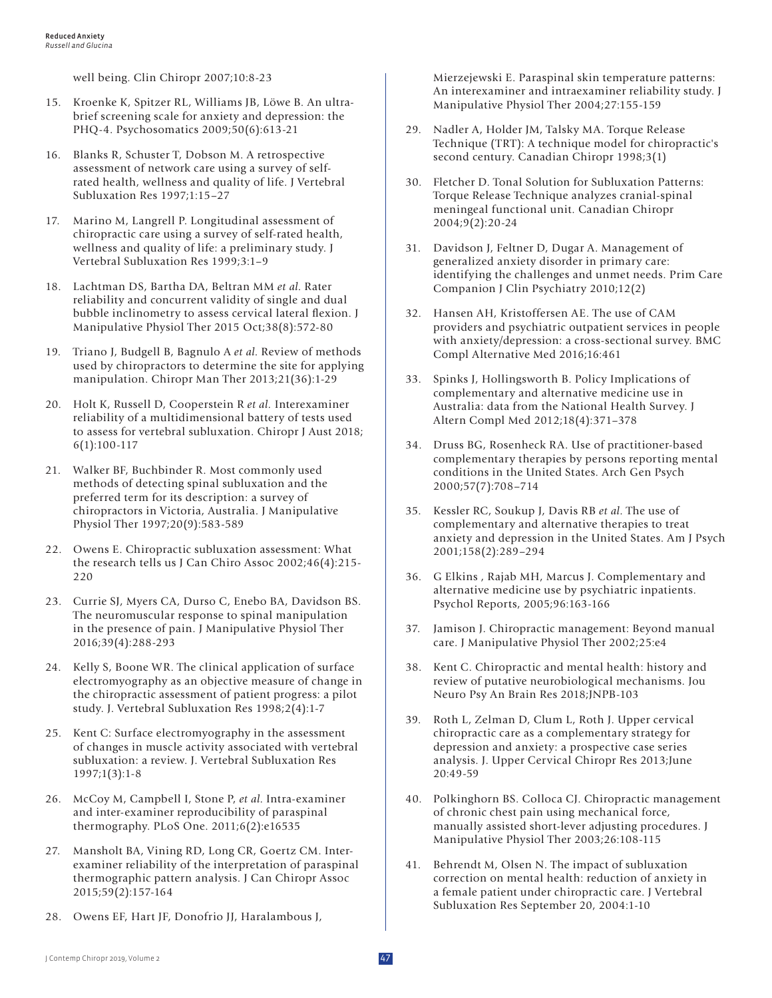well being. Clin Chiropr 2007;10:8-23

- 15. Kroenke K, Spitzer RL, Williams JB, Löwe B. An ultrabrief screening scale for anxiety and depression: the PHQ-4. Psychosomatics 2009;50(6):613-21
- 16. Blanks R, Schuster T, Dobson M. A retrospective assessment of network care using a survey of selfrated health, wellness and quality of life. J Vertebral Subluxation Res 1997;1:15–27
- 17. Marino M, Langrell P. Longitudinal assessment of chiropractic care using a survey of self-rated health, wellness and quality of life: a preliminary study. J Vertebral Subluxation Res 1999;3:1–9
- 18. Lachtman DS, Bartha DA, Beltran MM *et al*. Rater reliability and concurrent validity of single and dual bubble inclinometry to assess cervical lateral flexion. J Manipulative Physiol Ther 2015 Oct;38(8):572-80
- 19. Triano J, Budgell B, Bagnulo A *et al*. Review of methods used by chiropractors to determine the site for applying manipulation. Chiropr Man Ther 2013;21(36):1-29
- 20. Holt K, Russell D, Cooperstein R *et al.* Interexaminer reliability of a multidimensional battery of tests used to assess for vertebral subluxation. Chiropr J Aust 2018; 6(1):100-117
- 21. Walker BF, Buchbinder R. Most commonly used methods of detecting spinal subluxation and the preferred term for its description: a survey of chiropractors in Victoria, Australia. J Manipulative Physiol Ther 1997;20(9):583-589
- 22. Owens E. Chiropractic subluxation assessment: What the research tells us J Can Chiro Assoc 2002;46(4):215- 220
- 23. Currie SJ, Myers CA, Durso C, Enebo BA, Davidson BS. The neuromuscular response to spinal manipulation in the presence of pain. J Manipulative Physiol Ther 2016;39(4):288-293
- 24. Kelly S, Boone WR. The clinical application of surface electromyography as an objective measure of change in the chiropractic assessment of patient progress: a pilot study. J. Vertebral Subluxation Res 1998;2(4):1-7
- 25. Kent C: Surface electromyography in the assessment of changes in muscle activity associated with vertebral subluxation: a review. J. Vertebral Subluxation Res 1997;1(3):1-8
- 26. McCoy M, Campbell I, Stone P, *et al*. Intra-examiner and inter-examiner reproducibility of paraspinal thermography. PLoS One. 2011;6(2):e16535
- 27. Mansholt BA, Vining RD, Long CR, Goertz CM. Interexaminer reliability of the interpretation of paraspinal thermographic pattern analysis. J Can Chiropr Assoc 2015;59(2):157-164
- 28. Owens EF, Hart JF, Donofrio JJ, Haralambous J,

Mierzejewski E. Paraspinal skin temperature patterns: An interexaminer and intraexaminer reliability study. J Manipulative Physiol Ther 2004;27:155-159

- 29. Nadler A, Holder JM, Talsky MA. Torque Release Technique (TRT): A technique model for chiropractic's second century. Canadian Chiropr 1998;3(1)
- 30. Fletcher D. Tonal Solution for Subluxation Patterns: Torque Release Technique analyzes cranial-spinal meningeal functional unit. Canadian Chiropr 2004;9(2):20-24
- 31. Davidson J, Feltner D, Dugar A. Management of generalized anxiety disorder in primary care: identifying the challenges and unmet needs. Prim Care Companion J Clin Psychiatry 2010;12(2)
- 32. Hansen AH, Kristoffersen AE. The use of CAM providers and psychiatric outpatient services in people with anxiety/depression: a cross-sectional survey. BMC Compl Alternative Med 2016;16:461
- 33. Spinks J, Hollingsworth B. Policy Implications of complementary and alternative medicine use in Australia: data from the National Health Survey. J Altern Compl Med 2012;18(4):371–378
- 34. Druss BG, Rosenheck RA. Use of practitioner-based complementary therapies by persons reporting mental conditions in the United States. Arch Gen Psych 2000;57(7):708–714
- 35. Kessler RC, Soukup J, Davis RB *et al*. The use of complementary and alternative therapies to treat anxiety and depression in the United States. Am J Psych 2001;158(2):289–294
- 36. G Elkins , Rajab MH, Marcus J. Complementary and alternative medicine use by psychiatric inpatients. Psychol Reports, 2005;96:163-166
- 37. Jamison J. Chiropractic management: Beyond manual care. J Manipulative Physiol Ther 2002;25:e4
- 38. Kent C. Chiropractic and mental health: history and review of putative neurobiological mechanisms. Jou Neuro Psy An Brain Res 2018;JNPB-103
- 39. Roth L, Zelman D, Clum L, Roth J. Upper cervical chiropractic care as a complementary strategy for depression and anxiety: a prospective case series analysis. J. Upper Cervical Chiropr Res 2013;June 20:49-59
- 40. Polkinghorn BS. Colloca CJ. Chiropractic management of chronic chest pain using mechanical force, manually assisted short-lever adjusting procedures. J Manipulative Physiol Ther 2003;26:108-115
- 41. Behrendt M, Olsen N. The impact of subluxation correction on mental health: reduction of anxiety in a female patient under chiropractic care. J Vertebral Subluxation Res September 20, 2004:1-10